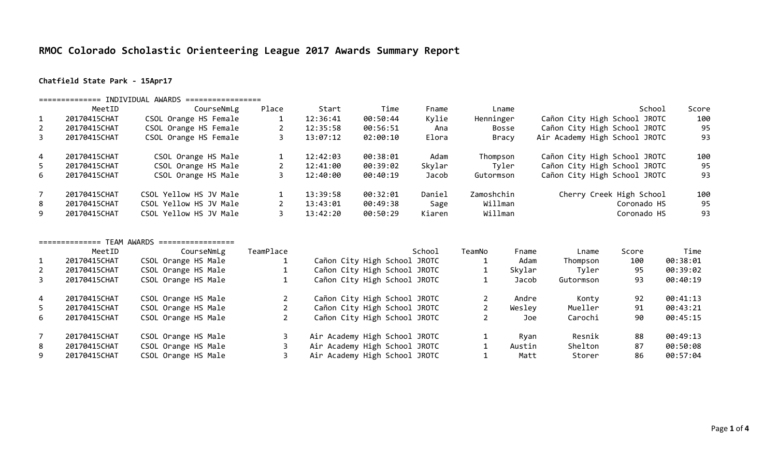# **RMOC Colorado Scholastic Orienteering League 2017 Awards Summary Report**

### **Chatfield State Park - 15Apr17**

### ============== INDIVIDUAL AWARDS =================

|                | MeetID       | CourseNmLg             | Place | Start    | Time     | Fname  | Lname      | School                        | Score |
|----------------|--------------|------------------------|-------|----------|----------|--------|------------|-------------------------------|-------|
| 1              | 20170415CHAT | CSOL Orange HS Female  |       | 12:36:41 | 00:50:44 | Kylie  | Henninger  | Cañon City High School JROTC  | 100   |
| $\overline{2}$ | 20170415CHAT | CSOL Orange HS Female  |       | 12:35:58 | 00:56:51 | Ana    | Bosse      | Cañon City High School JROTC  | 95    |
| 3              | 20170415CHAT | CSOL Orange HS Female  |       | 13:07:12 | 02:00:10 | Elora  | Bracy      | Air Academy High School JROTC | 93    |
| $\overline{4}$ | 20170415CHAT | CSOL Orange HS Male    |       | 12:42:03 | 00:38:01 | Adam   | Thompson   | Cañon City High School JROTC  | 100   |
| 5.             | 20170415CHAT | CSOL Orange HS Male    |       | 12:41:00 | 00:39:02 | Skylar | Tyler      | Cañon City High School JROTC  | 95    |
| 6              | 20170415CHAT | CSOL Orange HS Male    |       | 12:40:00 | 00:40:19 | Jacob  | Gutormson  | Cañon City High School JROTC  | 93    |
|                | 20170415CHAT | CSOL Yellow HS JV Male |       | 13:39:58 | 00:32:01 | Daniel | Zamoshchin | Cherry Creek High School      | 100   |
| 8              | 20170415CHAT | CSOL Yellow HS JV Male |       | 13:43:01 | 00:49:38 | Sage   | Willman    | Coronado HS                   | 95    |
| 9              | 20170415CHAT | CSOL Yellow HS JV Male |       | 13:42:20 | 00:50:29 | Kiaren | Willman    | Coronado HS                   | 93    |

### ============== TEAM AWARDS =================

|                | MeetID       | CourseNmLg          | TeamPlace | School                        | TeamNo | Fname  | Lname     | Score | Time     |
|----------------|--------------|---------------------|-----------|-------------------------------|--------|--------|-----------|-------|----------|
|                | 20170415CHAT | CSOL Orange HS Male |           | Cañon City High School JROTC  |        | Adam   | Thompson  | 100   | 00:38:01 |
| 2              | 20170415CHAT | CSOL Orange HS Male |           | Cañon City High School JROTC  |        | Skylar | Tyler     | 95    | 00:39:02 |
| 3              | 20170415CHAT | CSOL Orange HS Male |           | Cañon City High School JROTC  |        | Jacob  | Gutormson | 93    | 00:40:19 |
| $\overline{4}$ | 20170415CHAT | CSOL Orange HS Male |           | Cañon City High School JROTC  |        | Andre  | Konty     | 92    | 00:41:13 |
| 5.             | 20170415CHAT | CSOL Orange HS Male |           | Cañon City High School JROTC  |        | Wesley | Mueller   | 91    | 00:43:21 |
| 6              | 20170415CHAT | CSOL Orange HS Male |           | Cañon City High School JROTC  |        | Joe    | Carochi   | 90    | 00:45:15 |
|                | 20170415CHAT | CSOL Orange HS Male |           | Air Academy High School JROTC |        | Ryan   | Resnik    | 88    | 00:49:13 |
| 8              | 20170415CHAT | CSOL Orange HS Male |           | Air Academy High School JROTC |        | Austin | Shelton   | 87    | 00:50:08 |
| 9              | 20170415CHAT | CSOL Orange HS Male |           | Air Academy High School JROTC |        | Matt   | Storer    | 86    | 00:57:04 |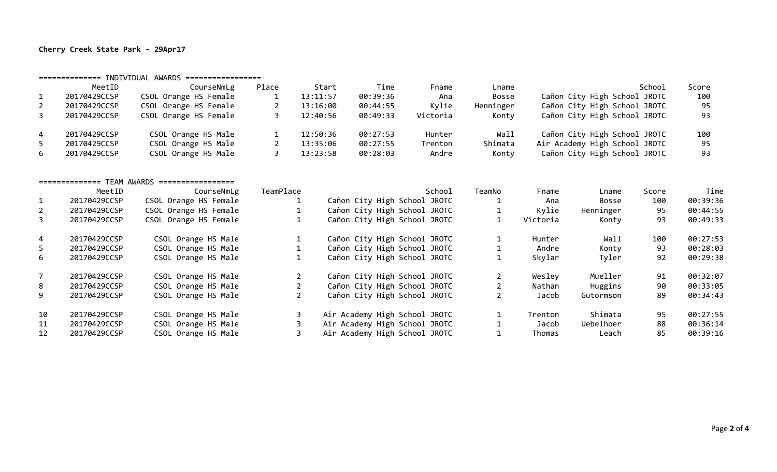# **Cherry Creek State Park - 29Apr17**

|                | MeetID       | CourseNmLg            | Place | Start    | Time     | Fname    | Lname     | School                        | Score |
|----------------|--------------|-----------------------|-------|----------|----------|----------|-----------|-------------------------------|-------|
|                | 20170429CCSP | CSOL Orange HS Female |       | 13:11:57 | 00:39:36 | Ana      | Bosse     | Cañon City High School JROTC  | 100   |
| $\overline{2}$ | 20170429CCSP | CSOL Orange HS Female |       | 13:16:00 | 00:44:55 | Kylie    | Henninger | Cañon City High School JROTC  | 95    |
| 3              | 20170429CCSP | CSOL Orange HS Female |       | 12:40:56 | 00:49:33 | Victoria | Konty     | Cañon City High School JROTC  | 93    |
| 4              | 20170429CCSP | CSOL Orange HS Male   |       | 12:50:36 | 00:27:53 | Hunter   | Wall      | Cañon City High School JROTC  | 100   |
|                | 20170429CCSP | CSOL Orange HS Male   |       | 13:35:06 | 00:27:55 | Trenton  | Shimata   | Air Academy High School JROTC | 95    |
| 6              | 20170429CCSP | CSOL Orange HS Male   |       | 13:23:58 | 00:28:03 | Andre    | Kontv     | Cañon City High School JROTC  | 93    |

#### ============== TEAM AWARDS =================

|                | MeetID       | CourseNmLg            | TeamPlace | School                        | TeamNo | Fname    | Lname        | Score | Time     |
|----------------|--------------|-----------------------|-----------|-------------------------------|--------|----------|--------------|-------|----------|
|                | 20170429CCSP | CSOL Orange HS Female |           | Cañon City High School JROTC  |        | Ana      | <b>Bosse</b> | 100   | 00:39:36 |
| 2              | 20170429CCSP | CSOL Orange HS Female |           | Cañon City High School JROTC  |        | Kylie    | Henninger    | 95    | 00:44:55 |
| 3              | 20170429CCSP | CSOL Orange HS Female | Τ.        | Cañon City High School JROTC  |        | Victoria | Konty        | 93    | 00:49:33 |
| $\overline{4}$ | 20170429CCSP | CSOL Orange HS Male   |           | Cañon City High School JROTC  |        | Hunter   | Wall         | 100   | 00:27:53 |
| 5.             | 20170429CCSP | CSOL Orange HS Male   |           | Cañon City High School JROTC  |        | Andre    | Konty        | 93    | 00:28:03 |
| 6              | 20170429CCSP | CSOL Orange HS Male   |           | Cañon City High School JROTC  |        | Skylar   | Tyler        | 92    | 00:29:38 |
|                | 20170429CCSP | CSOL Orange HS Male   |           | Cañon City High School JROTC  |        | Wesley   | Mueller      | 91    | 00:32:07 |
| 8              | 20170429CCSP | CSOL Orange HS Male   |           | Cañon City High School JROTC  |        | Nathan   | Huggins      | 90    | 00:33:05 |
| 9              | 20170429CCSP | CSOL Orange HS Male   |           | Cañon City High School JROTC  |        | Jacob    | Gutormson    | 89    | 00:34:43 |
| 10             | 20170429CCSP | CSOL Orange HS Male   |           | Air Academy High School JROTC |        | Trenton  | Shimata      | 95    | 00:27:55 |
| -11            | 20170429CCSP | CSOL Orange HS Male   |           | Air Academy High School JROTC |        | Jacob    | Uebelhoer    | 88    | 00:36:14 |
| 12             | 20170429CCSP | CSOL Orange HS Male   |           | Air Academy High School JROTC |        | Thomas   | Leach        | 85    | 00:39:16 |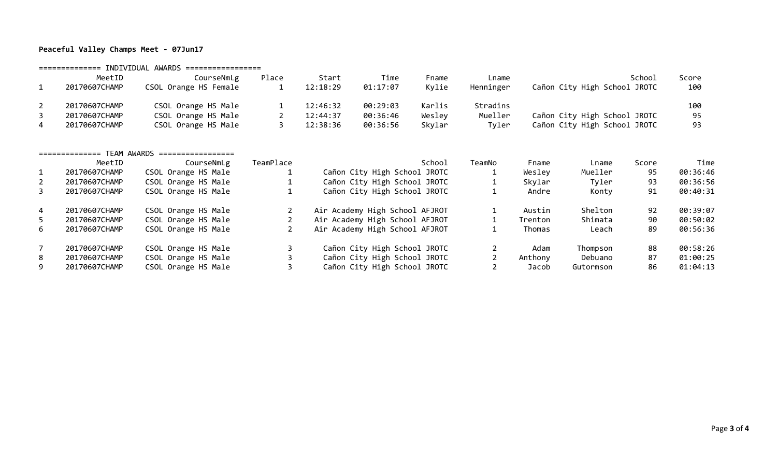# **Peaceful Valley Champs Meet - 07Jun17**

============== INDIVIDUAL AWARDS =================

| MeetID        | CourseNmLg            | Place | Start    | Time     | Fname  | Lname     | School                       | Score |
|---------------|-----------------------|-------|----------|----------|--------|-----------|------------------------------|-------|
| 20170607CHAMP | CSOL Orange HS Female |       | 12:18:29 | 01:17:07 | Kvlie  | Henninger | Cañon City High School JROTC | 100   |
| 20170607CHAMP | CSOL Orange HS Male   |       | 12:46:32 | 00:29:03 | Karlis | Stradins  |                              | 100   |
| 20170607CHAMP | CSOL Orange HS Male   |       | 12:44:37 | 00:36:46 | Wesley | Mueller   | Cañon City High School JROTC | 95    |
| 20170607CHAMP | CSOL Orange HS Male   |       | 12:38:36 | 00:36:56 | Skylar | Tyler     | Cañon City High School JROTC | 93    |

#### ============== TEAM AWARDS =================

|    | MeetID        | CourseNmLg          | TeamPlace | School                         | TeamNo | Fname   | Lname     | Score | Time     |
|----|---------------|---------------------|-----------|--------------------------------|--------|---------|-----------|-------|----------|
|    | 20170607CHAMP | CSOL Orange HS Male |           | Cañon City High School JROTC   |        | Wesley  | Mueller   | 95    | 00:36:46 |
| 2  | 20170607CHAMP | CSOL Orange HS Male |           | Cañon City High School JROTC   |        | Skylar  | Tyler     | 93    | 00:36:56 |
| 3  | 20170607CHAMP | CSOL Orange HS Male |           | Cañon City High School JROTC   |        | Andre   | Konty     | 91    | 00:40:31 |
| 4  | 20170607CHAMP | CSOL Orange HS Male |           | Air Academy High School AFJROT |        | Austin  | Shelton   | 92    | 00:39:07 |
| 5. | 20170607CHAMP | CSOL Orange HS Male |           | Air Academy High School AFJROT |        | Trenton | Shimata   | 90    | 00:50:02 |
| 6  | 20170607CHAMP | CSOL Orange HS Male |           | Air Academy High School AFJROT |        | Thomas  | Leach     | 89    | 00:56:36 |
|    | 20170607CHAMP | CSOL Orange HS Male |           | Cañon City High School JROTC   |        | Adam    | Thompson  | 88    | 00:58:26 |
| 8  | 20170607CHAMP | CSOL Orange HS Male |           | Cañon City High School JROTC   |        | Anthony | Debuano   | 87    | 01:00:25 |
| 9  | 20170607CHAMP | CSOL Orange HS Male |           | Cañon City High School JROTC   |        | Jacob   | Gutormson | 86    | 01:04:13 |